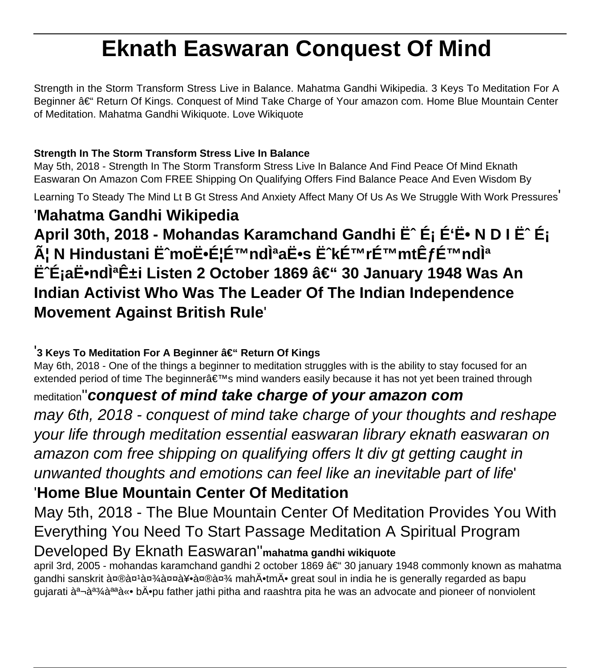# **Eknath Easwaran Conquest Of Mind**

Strength in the Storm Transform Stress Live in Balance. Mahatma Gandhi Wikipedia. 3 Keys To Meditation For A Beginner – Return Of Kings. Conquest of Mind Take Charge of Your amazon com. Home Blue Mountain Center of Meditation. Mahatma Gandhi Wikiquote. Love Wikiquote

#### **Strength In The Storm Transform Stress Live In Balance**

May 5th, 2018 - Strength In The Storm Transform Stress Live In Balance And Find Peace Of Mind Eknath Easwaran On Amazon Com FREE Shipping On Qualifying Offers Find Balance Peace And Even Wisdom By

Learning To Steady The Mind Lt B Gt Stress And Anxiety Affect Many Of Us As We Struggle With Work Pressures'

## '**Mahatma Gandhi Wikipedia**

April 30th, 2018 - Mohandas Karamchand Gandhi Ë<sup>n</sup> É<sub>i</sub> É'Ë• N D I Ë<sup>n</sup> É<sub>i</sub> A; N Hindustani Ë^moË. E<sup>:</sup>É™ndìªaË.s Ë^kÉ™rÉ™mtÊfÉ™ndì<sup>a</sup> **ÊÉjaË•nd̪ʱi Listen 2 October 1869 – 30 January 1948 Was An Indian Activist Who Was The Leader Of The Indian Independence Movement Against British Rule**'

#### <sup>'</sup>3 Keys To Meditation For A Beginner – Return Of Kings

May 6th, 2018 - One of the things a beginner to meditation struggles with is the ability to stay focused for an extended period of time The beginner a ETMs mind wanders easily because it has not yet been trained through

### meditation''**conquest of mind take charge of your amazon com**

may 6th, 2018 - conquest of mind take charge of your thoughts and reshape your life through meditation essential easwaran library eknath easwaran on amazon com free shipping on qualifying offers lt div gt getting caught in unwanted thoughts and emotions can feel like an inevitable part of life'

# '**Home Blue Mountain Center Of Meditation**

May 5th, 2018 - The Blue Mountain Center Of Meditation Provides You With Everything You Need To Start Passage Meditation A Spiritual Program Developed By Eknath Easwaran''**mahatma gandhi wikiquote**

april 3rd, 2005 - mohandas karamchand gandhi 2 october 1869 – 30 january 1948 commonly known as mahatma gandhi sanskrit मà¤'à¤' $\lambda$ तà¥∙मा mahÄ•tmÄ• great soul in india he is generally regarded as bapu gujarati à<sup>a</sup>¬àª¾àªªà«• bÄ•pu father jathi pitha and raashtra pita he was an advocate and pioneer of nonviolent